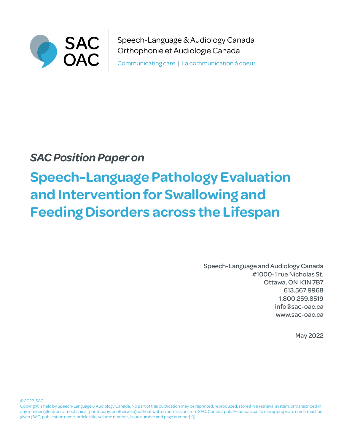

Speech-Language & Audiology Canada Orthophonie et Audiologie Canada

Communicating care | La communication à coeur

## *SAC Position Paper on*

# **Speech-Language Pathology Evaluation and Intervention for Swallowing and Feeding Disorders across the Lifespan**

Speech-Language and Audiology Canada #1000-1 rue Nicholas St. Ottawa, ON K1N 7B7 613.567.9968 1.800.259.8519 info@sac-oac.ca [www.s](www.caslpa.ca)ac-oac.ca

May 2022

© 2022, SAC

Copyright is held by Speech-Language & Audiology Canada. No part of this publication may be reprinted, reproduced, stored in a retrieval system, or transcribed in any manner (electronic, mechanical, photocopy, or otherwise) without written permission from SAC. Contact pubs@sac-oac.ca. To cite appropriate credit must be given (SAC, publication name, article title, volume number, issue number and page number[s])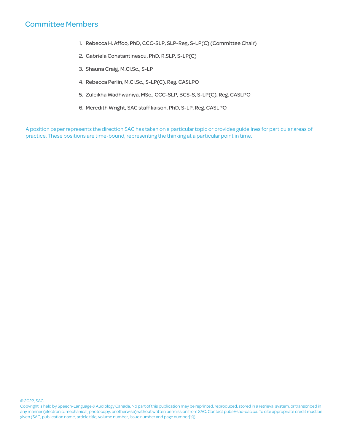## Committee Members

- 1. Rebecca H. Affoo, PhD, CCC-SLP, SLP-Reg, S-LP(C) (Committee Chair)
- 2. Gabriela Constantinescu, PhD, R.SLP, S-LP(C)
- 3. Shauna Craig, M.Cl.Sc., S-LP
- 4. Rebecca Perlin, M.Cl.Sc., S-LP(C), Reg. CASLPO
- 5. Zuleikha Wadhwaniya, MSc., CCC-SLP, BCS-S, S-LP(C), Reg. CASLPO
- 6. Meredith Wright, SAC staff liaison, PhD, S-LP, Reg. CASLPO

A position paper represents the direction SAC has taken on a particular topic or provides guidelines for particular areas of practice. These positions are time-bound, representing the thinking at a particular point in time.

#### © 2022, SAC

Copyright is held by Speech-Language & Audiology Canada. No part of this publication may be reprinted, reproduced, stored in a retrieval system, or transcribed in any manner (electronic, mechanical, photocopy, or otherwise) without written permission from SAC. Contact pubs@sac-oac.ca. To cite appropriate credit must be given (SAC, publication name, article title, volume number, issue number and page number[s])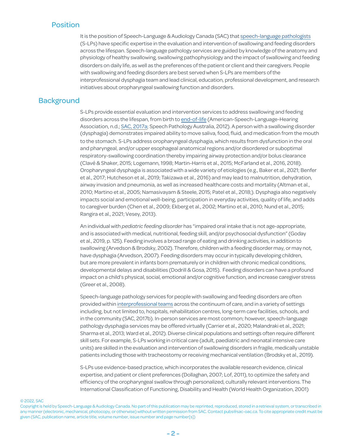## Position

It is the position of Speech-Language & Audiology Canada (SAC) that [speech-language pathologists](https://www.sac-oac.ca/sites/default/files/resources/scope_of_practice_speech-language_pathology_en.pdf) (S-LPs) have specific expertise in the evaluation and intervention of swallowing and feeding disorders across the lifespan. Speech-language pathology services are guided by knowledge of the anatomy and physiology of healthy swallowing, swallowing pathophysiology and the impact of swallowing and feeding disorders on daily life, as well as the preferences of the patient or client and their caregivers. People with swallowing and feeding disorders are best served when S-LPs are members of the interprofessional dysphagia team and lead clinical, education, professional development, and research initiatives about oropharyngeal swallowing function and disorders.

## **Background**

S-LPs provide essential evaluation and intervention services to address swallowing and feeding disorders across the lifespan, from birth to [end-of-life](https://www.sac-oac.ca/communication-health-and-end-life-care) (American-Speech-Language-Hearing Association, n.d.; [SAC, 2017a](https://www.sac-oac.ca/sites/default/files/resources/dysphagia_position_statement_en.pdf); Speech Pathology Australia, 2012). A personwith a swallowing disorder (dysphagia) demonstrates impaired ability to move saliva, food, fluid, and medication from the mouth to the stomach. S-LPs address oropharyngeal dysphagia, which results from dysfunction in the oral and pharyngeal, and/or upper esophageal anatomical regions and/or disordered or suboptimal respiratory-swallowing coordination thereby impairing airway protection and/or bolus clearance (Clavé & Shaker, 2015; Logemann, 1998; Martin-Harris et al., 2015; McFarland et al., 2016, 2018). Oropharyngeal dysphagia is associatedwith awide variety of etiologies (e.g., Baker et al., 2021; Benfer et al., 2017; Hutcheson et al., 2019; Takizawa et al., 2016) and may lead to malnutrition, dehydration, airway invasion and pneumonia, aswell as increased healthcare costs and mortality (Altman et al., 2010; Martino et al., 2005; Namasivayam & Steele, 2015; Patel et al., 2018;). Dysphagia also negatively impacts social and emotionalwell-being, participation in everyday activities, quality of life, and adds to caregiver burden (Chen et al., 2009; Ekberg et al., 2002; Martino et al., 2010; Nund et al., 2015; Rangira et al., 2021; Vesey, 2013).

An individual with *pediatric feeding disorder* has "impaired oral intake that is not age-appropriate, and is associated with medical, nutritional, feeding skill, and/or psychosocial dysfunction" (Goday et al., 2019, p. 125). Feeding involves a broad range of eating and drinking activities, in addition to swallowing (Arvedson & Brodsky, 2002). Therefore, children with a feeding disorder may, or may not, have dysphagia (Arvedson, 2007). Feeding disorders may occur in typically developing children, but are more prevalent in infants born prematurely or in children with chronic medical conditions, developmental delays and disabilities (Dodrill & Gosa, 2015). Feeding disorders can have a profound impact on a child's physical, social, emotional and/or cognitive function, and increase caregiver stress (Greer et al., 2008).

Speech-language pathology services for people with swallowing and feeding disorders are often provided within [interprofessional teams](https://www.mcgill.ca/ipeoffice/ipe-curriculum/cihc-framework) across the continuum of care, and in a variety of settings including, but not limited to, hospitals, rehabilitation centres, long-term care facilities, schools, and in the community (SAC, 2017b). In-person services are most common; however, speech-language pathology dysphagia services may be offered virtually (Carrier et al., 2020; Malandraki et al., 2021; Sharma et al., 2013; Ward et al., 2012). Diverse clinical populations and settings often require different skill sets. For example, S-LPs working in critical care (adult, paediatric and neonatal intensive care units) are skilled in the evaluation and intervention of swallowing disorders in fragile, medically unstable patients including those with tracheostomy or receiving mechanical ventilation (Brodsky et al., 2019).

S-LPs use evidence-based practice, which incorporates the available research evidence, clinical expertise, and patient or client preferences (Dollaghan, 2007; Lof, 2011), to optimize the safety and efficiency of the oropharyngeal swallow through personalized, culturally relevant interventions. The International Classification of Functioning, Disability and Health (World Health Organization, 2001)

Copyright is held by Speech-Language & Audiology Canada. No part of this publication may be reprinted, reproduced, stored in a retrieval system, or transcribed in any manner (electronic, mechanical, photocopy, or otherwise) without written permission from SAC. Contact pubs@sac-oac.ca. To cite appropriate credit must be given (SAC, publication name, article title, volume number, issue number and page number[s])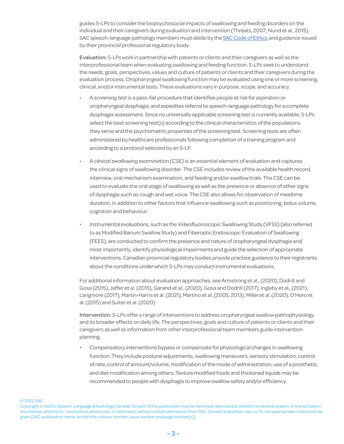guides S-LPs to consider the biopsychosocial impacts of swallowing and feeding disorders on the individual and their caregivers during evaluation and intervention (Threats, 2007; Nund et al., 2015). SAC speech-language pathology members must abide by the [SAC Code of Ethics](https://www.sac-oac.ca/sites/default/files/resources/2016_sac_Code_of_Ethics_en.pdf) and guidance issued by their provincial professional regulatory body.

Evaluation: S-LPs work in partnership with patients or clients and their caregivers as well as the interprofessional team when evaluating swallowing and feeding function. S-LPs seek to understand the needs, goals, perspectives, values and culture of patients or clients and their caregivers during the evaluation process. Oropharyngeal swallowing function may be evaluated using one or more screening, clinical, and/or instrumental tests. These evaluations vary in purpose, scope, and accuracy.

- A *screening test* is a pass-fail procedure that identifies people at risk for aspiration or oropharyngeal dysphagia, and expedites referral to speech-language pathology for a complete dysphagia assessment. Since no universally applicable screening test is currently available, S-LPs select the best screening test(s) according to the clinical characteristics of the populations they serve and the psychometric properties of the screening test. Screening tests are often administered by healthcare professionals following completion of a training program and according to a protocol selected by an S-LP.
- A *clinical swallowing examination (CSE)* is an essential element of evaluation and captures the clinical signs of swallowing disorder. The CSE includes review of the available health record, interview, oral mechanism examination, and feeding and/or swallow trials. The CSE can be used to evaluate the oral stage of swallowing as well as the presence or absence of other signs of dysphagia such as cough and wet voice. The CSE also allows for observation of mealtime duration, in addition to other factors that influence swallowing such as positioning, bolus volume, cognition and behaviour.
- *• Instrumental evaluations*, such as the Videofluoroscopic Swallowing Study (VFSS) (also referred to as Modified Barium Swallow Study) and Fiberoptic Endoscopic Evaluation of Swallowing (FEES), are conducted to confirm the presence and nature of oropharyngeal dysphagia and, most importantly, identify physiological impairments and guide the selection of appropriate interventions. Canadian provincial regulatory bodies provide practice guidance to their registrants about the conditions under which S-LPs may conduct instrumental evaluations.

For additional information about evaluation approaches, see Armstrong et al., (2020), Dodrill and Gosa (2015), Jaffer et al. (2015), Garand et al., (2020), Gosa and Dodrill (2017), Ingleby et al., (2021); Langmore (2017), Martin-Harris et al. (2021), Martino et al. (2005, 2013), Miller et al. (2020), O'Horo et al. (2015) and Suiter et al. (2020).

Intervention: S-LPs offer a range of interventions to address oropharyngeal swallow pathophysiology and its broader effects on daily life. The perspectives, goals and culture of patients or clients and their caregivers as well as information from other interprofessional team members guide intervention planning.

*• Compensatory interventions* bypass or compensate for physiological changes in swallowing function. They include postural adjustments, swallowing maneuvers, sensory stimulation, control of rate, control of amount/volume, modification of the mode of administration, use of a prosthetic, and diet modification among others. Texture modified foods and thickened liquids may be recommended to people with dysphagia to improve swallow safety and/or efficiency.

Copyright is held by Speech-Language & Audiology Canada. No part of this publication may be reprinted, reproduced, stored in a retrieval system, or transcribed in any manner (electronic, mechanical, photocopy, or otherwise) without written permission from SAC. Contact pubs@sac-oac.ca. To cite appropriate credit must be given (SAC, publication name, article title, volume number, issue number and page number[s])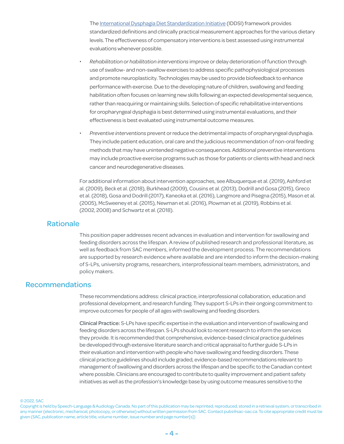The [International Dysphagia Diet Standardization Initiative](https://iddsi.org/) (IDDSI) framework provides standardized definitions and clinically practical measurement approaches for the various dietary levels. The effectiveness of compensatory interventions is best assessed using instrumental evaluations whenever possible.

- *• Rehabilitation or habilitation interventions* improve or delay deterioration of function through use of swallow- and non-swallow exercises to address specific pathophysiological processes and promote neuroplasticity. Technologies may be used to provide biofeedback to enhance performance with exercise. Due to the developing nature of children, swallowing and feeding habilitation often focuses on learning new skills following an expected developmental sequence, rather than reacquiring or maintaining skills. Selection of specific rehabilitative interventions for oropharyngeal dysphagia is best determined using instrumental evaluations, and their effectiveness is best evaluated using instrumental outcome measures.
- *• Preventive interventions* prevent or reduce the detrimental impacts of oropharyngeal dysphagia. They include patient education, oral care and the judicious recommendation of non-oral feeding methods that may have unintended negative consequences. Additional preventive interventions may include proactive exercise programs such as those for patients or clients with head and neck cancer and neurodegenerative diseases.

For additional information about intervention approaches, see Albuquerque et al. (2019), Ashford et al. (2009), Beck et al. (2018), Burkhead (2009), Cousins et al. (2013), Dodrill and Gosa (2015), Greco et al. (2018), Gosa and Dodrill (2017), Kaneoka et al. (2016), Langmore and Pisegna (2015), Mason et al. (2005), McSweeney et al. (2015), Newman et al. (2016), Plowman et al. (2019), Robbins et al. (2002, 2008) and Schwartz et al. (2018).

### Rationale

This position paper addresses recent advances in evaluation and intervention for swallowing and feeding disorders across the lifespan. A review of published research and professional literature, as well as feedback from SAC members, informed the development process. The recommendations are supported by research evidence where available and are intended to inform the decision-making of S-LPs, university programs, researchers, interprofessional team members, administrators, and policy makers.

## Recommendations

These recommendations address: clinical practice, interprofessional collaboration, education and professional development, and research funding. They support S-LPs in their ongoing commitment to improve outcomes for people of all ages with swallowing and feeding disorders.

Clinical Practice: S-LPs have specific expertise in the evaluation and intervention of swallowing and feeding disorders across the lifespan. S-LPs should look to recent research to inform the services they provide. It is recommended that comprehensive, evidence-based clinical practice guidelines be developed through extensive literature search and critical appraisal to further guide S-LPs in their evaluation and intervention with people who have swallowing and feeding disorders. These clinical practice guidelines should include graded, evidence-based recommendations relevant to management of swallowing and disorders across the lifespan and be specific to the Canadian context where possible. Clinicians are encouraged to contribute to quality improvement and patient safety initiatives as well as the profession's knowledge base by using outcome measures sensitive to the

© 2022, SAC

Copyright is held by Speech-Language & Audiology Canada. No part of this publication may be reprinted, reproduced, stored in a retrieval system, or transcribed in any manner (electronic, mechanical, photocopy, or otherwise) without written permission from SAC. Contact pubs@sac-oac.ca. To cite appropriate credit must be given (SAC, publication name, article title, volume number, issue number and page number[s])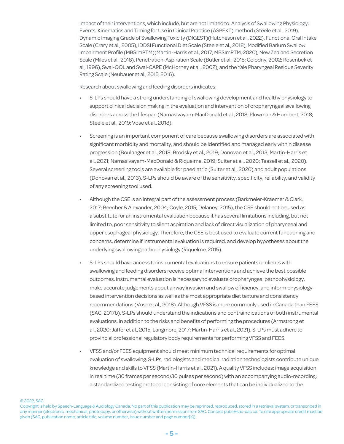impact of their interventions, which include, but are not limited to: Analysis of Swallowing Physiology: Events, Kinematics and Timing for Use in Clinical Practice (ASPEKT) method (Steele et al., 2019), Dynamic Imaging Grade of Swallowing Toxicity (DIGEST)(Hutcheson et al., 2022), Functional Oral Intake Scale (Crary et al., 2005), IDDSI Functional Diet Scale (Steele et al., 2018), Modified Barium Swallow Impairment Profile (MBSImPTM)(Martin-Harris et al., 2017; MBSImPTM, 2020), New Zealand Secretion Scale (Miles et al., 2018), Penetration-Aspiration Scale (Butler et al., 2015; Colodny, 2002; Rosenbek et al., 1996), Swal-QOL and Swal-CARE (McHorney et al., 2002), and the Yale Pharyngeal Residue Severity Rating Scale (Neubauer et al., 2015, 2016).

Research about swallowing and feeding disorders indicates:

- S-LPs should have a strong understanding of swallowing development and healthy physiology to support clinical decision making in the evaluation and intervention of oropharyngeal swallowing disorders across the lifespan (Namasivayam-MacDonald et al., 2018; Plowman & Humbert, 2018; Steele et al., 2019; Vose et al., 2018).
- Screening is an important component of care because swallowing disorders are associated with significant morbidity and mortality, and should be identified and managed early within disease progression (Boulanger et al., 2018; Brodsky et al., 2019; Donovan et al., 2013; Martin-Harris et al., 2021; Namasivayam-MacDonald & Riquelme, 2019; Suiter et al., 2020; Teasell et al., 2020). Several screening tools are available for paediatric (Suiter et al., 2020) and adult populations (Donovan et al., 2013). S-LPs should be aware of the sensitivity, specificity, reliability, and validity of any screening tool used.
- Although the CSE is an integral part of the assessment process (Barkmeier-Kraemer & Clark, 2017; Beecher & Alexander, 2004; Coyle, 2015; Delaney, 2015), the CSE should not be used as a substitute for an instrumental evaluation because it has several limitations including, but not limited to, poor sensitivity to silent aspiration and lack of direct visualization of pharyngeal and upper esophageal physiology. Therefore, the CSE is best used to evaluate current functioning and concerns, determine if instrumental evaluation is required, and develop hypotheses about the underlying swallowing pathophysiology (Riquelme, 2015).
- S-LPs should have access to instrumental evaluations to ensure patients or clients with swallowing and feeding disorders receive optimal interventions and achieve the best possible outcomes. Instrumental evaluation is necessary to evaluate oropharyngeal pathophysiology, make accurate judgements about airway invasion and swallow efficiency, and inform physiologybased intervention decisions as well as the most appropriate diet texture and consistency recommendations (Vose et al., 2018). Although VFSS is more commonly used in Canada than FEES (SAC, 2017b), S-LPs should understand the indications and contraindications of both instrumental evaluations, in addition to the risks and benefits of performing the procedures (Armstrong et al., 2020; Jaffer et al., 2015; Langmore, 2017; Martin-Harris et al., 2021). S-LPs must adhere to provincial professional regulatory body requirements for performing VFSS and FEES.
- VFSS and/or FEES equipment should meet minimum technical requirements for optimal evaluation of swallowing. S-LPs, radiologists and medical radiation technologists contribute unique knowledge and skills to VFSS (Martin-Harris et al., 2021). A quality VFSS includes: image acquisition in real time (30 frames per second/30 pulses per second) with an accompanying audio-recording; a standardized testing protocol consisting of core elements that can be individualized to the

Copyright is held by Speech-Language & Audiology Canada. No part of this publication may be reprinted, reproduced, stored in a retrieval system, or transcribed in any manner (electronic, mechanical, photocopy, or otherwise) without written permission from SAC. Contact pubs@sac-oac.ca. To cite appropriate credit must be given (SAC, publication name, article title, volume number, issue number and page number[s])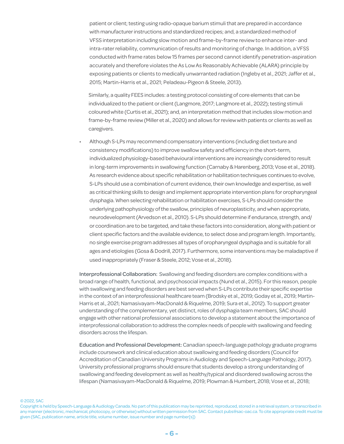patient or client; testing using radio-opaque barium stimuli that are prepared in accordance with manufacturer instructions and standardized recipes; and, a standardized method of VFSS interpretation including slow motion and frame-by-frame review to enhance inter- and intra-rater reliability, communication of results and monitoring of change. In addition, a VFSS conducted with frame rates below 15 frames per second cannot identify penetration-aspiration accurately and therefore violates the As Low As Reasonably Achievable (ALARA) principle by exposing patients or clients to medically unwarranted radiation (Ingleby et al., 2021; Jaffer et al., 2015; Martin-Harris et al., 2021; Peladeau-Pigeon & Steele, 2013).

Similarly, a quality FEES includes: a testing protocol consisting of core elements that can be individualized to the patient or client (Langmore, 2017; Langmore et al., 2022); testing stimuli coloured white (Curtis et al., 2021); and, an interpretation method that includes slow motion and frame-by-frame review (Miller et al., 2020) and allows for review with patients or clients as well as caregivers.

• Although S-LPs may recommend compensatory interventions (including diet texture and consistency modifications) to improve swallow safety and efficiency in the short-term, individualized physiology-based behavioural interventions are increasingly considered to result in long-term improvements in swallowing function (Carnaby & Harenberg, 2013; Vose et al., 2018). As research evidence about specific rehabilitation or habilitation techniques continues to evolve, S-LPs should use a combination of current evidence, their own knowledge and expertise, as well as critical thinking skills to design and implement appropriate intervention plans for oropharyngeal dysphagia. When selecting rehabilitation or habilitation exercises, S-LPs should consider the underlying pathophysiology of the swallow, principles of neuroplasticity, and when appropriate, neurodevelopment (Arvedson et al., 2010). S-LPs should determine if endurance, strength, and/ or coordination are to be targeted, and take these factors into consideration, along with patient or client specific factors and the available evidence, to select dose and program length. Importantly, no single exercise program addresses all types of oropharyngeal dysphagia and is suitable for all ages and etiologies (Gosa & Dodrill, 2017). Furthermore, some interventions may be maladaptive if used inappropriately (Fraser & Steele, 2012; Vose et al., 2018).

Interprofessional Collaboration: Swallowing and feeding disorders are complex conditions with a broad range of health, functional, and psychosocial impacts (Nund et al., 2015). For this reason, people with swallowing and feeding disorders are best served when S-LPs contribute their specific expertise in the context of an interprofessional healthcare team (Brodsky et al., 2019; Goday et al., 2019; Martin-Harris et al., 2021; Namasivayam-MacDonald & Riquelme, 2019; Sura et al., 2012). To support greater understanding of the complementary, yet distinct, roles of dysphagia team members, SAC should engage with other national professional associations to develop a statement about the importance of interprofessional collaboration to address the complex needs of people with swallowing and feeding disorders across the lifespan.

Education and Professional Development: Canadian speech-language pathology graduate programs include coursework and clinical education about swallowing and feeding disorders (Council for Accreditation of Canadian University Programs in Audiology and Speech-Language Pathology, 2017). University professional programs should ensure that students develop a strong understanding of swallowing and feeding development as well as healthy/typical and disordered swallowing across the lifespan (Namasivayam-MacDonald & Riquelme, 2019; Plowman & Humbert, 2018; Vose et al., 2018;

Copyright is held by Speech-Language & Audiology Canada. No part of this publication may be reprinted, reproduced, stored in a retrieval system, or transcribed in any manner (electronic, mechanical, photocopy, or otherwise) without written permission from SAC. Contact pubs@sac-oac.ca. To cite appropriate credit must be given (SAC, publication name, article title, volume number, issue number and page number[s])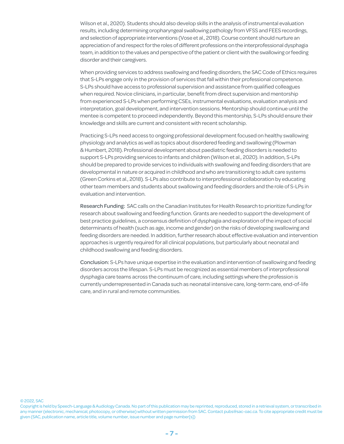Wilson et al., 2020). Students should also develop skills in the analysis of instrumental evaluation results, including determining oropharyngeal swallowing pathology from VFSS and FEES recordings, and selection of appropriate interventions (Vose et al., 2018). Course content should nurture an appreciation of and respect for the roles of different professions on the interprofessional dysphagia team, in addition to the values and perspective of the patient or client with the swallowing or feeding disorder and their caregivers.

When providing services to address swallowing and feeding disorders, the SAC Code of Ethics requires that S-LPs engage only in the provision of services that fall within their professional competence. S-LPs should have access to professional supervision and assistance from qualified colleagues when required. Novice clinicians, in particular, benefit from direct supervision and mentorship from experienced S-LPs when performing CSEs, instrumental evaluations, evaluation analysis and interpretation, goal development, and intervention sessions. Mentorship should continue until the mentee is competent to proceed independently. Beyond this mentorship, S-LPs should ensure their knowledge and skills are current and consistent with recent scholarship.

Practicing S-LPs need access to ongoing professional development focused on healthy swallowing physiology and analytics as well as topics about disordered feeding and swallowing (Plowman & Humbert, 2018). Professional development about paediatric feeding disorders is needed to support S-LPs providing services to infants and children (Wilson et al., 2020). In addition, S-LPs should be prepared to provide services to individuals with swallowing and feeding disorders that are developmental in nature or acquired in childhood and who are transitioning to adult care systems (Green Corkins et al., 2018). S-LPs also contribute to interprofessional collaboration by educating other team members and students about swallowing and feeding disorders and the role of S-LPs in evaluation and intervention.

Research Funding: SAC calls on the Canadian Institutes for Health Research to prioritize funding for research about swallowing and feeding function. Grants are needed to support the development of best practice guidelines, a consensus definition of dysphagia and exploration of the impact of social determinants of health (such as age, income and gender) on the risks of developing swallowing and feeding disorders are needed. In addition, further research about effective evaluation and intervention approaches is urgently required for all clinical populations, but particularly about neonatal and childhood swallowing and feeding disorders.

Conclusion: S-LPs have unique expertise in the evaluation and intervention of swallowing and feeding disorders across the lifespan. S-LPs must be recognized as essential members of interprofessional dysphagia care teams across the continuum of care, including settings where the profession is currently underrepresented in Canada such as neonatal intensive care, long-term care, end-of-life care, and in rural and remote communities.

Copyright is held by Speech-Language & Audiology Canada. No part of this publication may be reprinted, reproduced, stored in a retrieval system, or transcribed in any manner (electronic, mechanical, photocopy, or otherwise) without written permission from SAC. Contact pubs@sac-oac.ca. To cite appropriate credit must be given (SAC, publication name, article title, volume number, issue number and page number[s])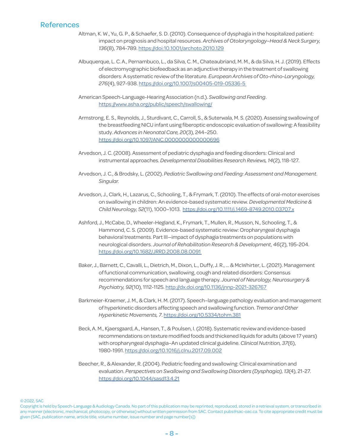## References

- Altman, K. W., Yu, G. P., & Schaefer, S. D. (2010). Consequence of dysphagia in the hospitalized patient: impact on prognosis and hospital resources. *Archives of Otolaryngology–Head & Neck Surgery, 136*(8), 784-789. <https://doi:10.1001/archoto.2010.129>
- Albuquerque, L. C. A., Pernambuco, L., da Silva, C. M., Chateaubriand, M. M., & da Silva, H. J. (2019). Effects of electromyographic biofeedback as an adjunctive therapy in the treatment of swallowing disorders: A systematic review of the literature. *European Archives of Oto-rhino-Laryngology, 276*(4), 927-938.<https://doi.org/10.1007/s00405-019-05336-5>

American Speech-Language-Hearing Association (n.d.). *Swallowing and Feeding*. <https://www.asha.org/public/speech/swallowing/>

- Armstrong, E. S., Reynolds, J., Sturdivant, C., Carroll, S., & Suterwala, M. S. (2020). Assessing swallowing of the breastfeeding NICU infant using fiberoptic endoscopic evaluation of swallowing: A feasibility study. *Advances in Neonatal Care, 20*(3), 244–250. <https://doi.org/10.1097/ANC.0000000000000696>
- Arvedson, J. C. (2008). Assessment of pediatric dysphagia and feeding disorders: Clinical and instrumental approaches. *Developmental Disabilities Research Reviews, 14*(2), 118-127.
- Arvedson, J. C., & Brodsky, L. (2002). *Pediatric Swallowing and Feeding: Assessment and Management. Singular.*
- Arvedson, J., Clark, H., Lazarus, C., Schooling, T., & Frymark, T. (2010). The effects of oral-motor exercises on swallowing in children: An evidence-based systematic review. *Developmental Medicine & Child Neurology, 52*(11), 1000–1013. <https://doi.org/10.1111/j.1469-8749.2010.03707.x>
- Ashford, J., McCabe, D., Wheeler-Hegland, K., Frymark, T., Mullen, R., Musson, N., Schooling, T., & Hammond, C. S. (2009). Evidence-based systematic review: Oropharyngeal dysphagia behavioral treatments. Part III—impact of dysphagia treatments on populations with neurological disorders. *Journal of Rehabilitation Research & Development, 46*(2), 195-204. <https://doi.org/10.1682/JRRD.2008.08.0091>
- Baker, J., Barnett, C., Cavalli, L., Dietrich, M., Dixon, L., Duffy, J. R., ... & McWhirter, L. (2021). Management of functional communication, swallowing, cough and related disorders: Consensus recommendations for speech and language therapy. *Journal of Neurology, Neurosurgery & Psychiatry, 92*(10), 1112-1125. [http://dx.doi.org/10.1136/jnnp-2021-326767](http://dx.doi.org/10.1136/jnnp-2021-326767
)
- Barkmeier-Kraemer, J. M., & Clark, H. M. (2017). Speech–language pathology evaluation and management of hyperkinetic disorders affecting speech and swallowing function. *Tremor and Other Hyperkinetic Movements, 7*. [https://doi.org/10.5334/tohm.381](https://doi.org/10.5334/tohm.381
)
- Beck, A. M., Kjaersgaard, A., Hansen, T., & Poulsen, I. (2018). Systematic review and evidence-based recommendations on texture modified foods and thickened liquids for adults (above 17 years) with oropharyngeal dysphagia–An updated clinical guideline. *Clinical Nutrition, 37*(6), 1980-1991.<https://doi.org/10.1016/j.clnu.2017.09.002>
- Beecher, R., & Alexander, R. (2004). Pediatric feeding and swallowing: Clinical examination and evaluation. *Perspectives on Swallowing and Swallowing Disorders (Dysphagia), 13*(4), 21-27. [https://doi.org/10.1044/sasd13.4.21](https://doi.org/10.1044/sasd13.4.21
)

Copyright is held by Speech-Language & Audiology Canada. No part of this publication may be reprinted, reproduced, stored in a retrieval system, or transcribed in any manner (electronic, mechanical, photocopy, or otherwise) without written permission from SAC. Contact pubs@sac-oac.ca. To cite appropriate credit must be given (SAC, publication name, article title, volume number, issue number and page number[s])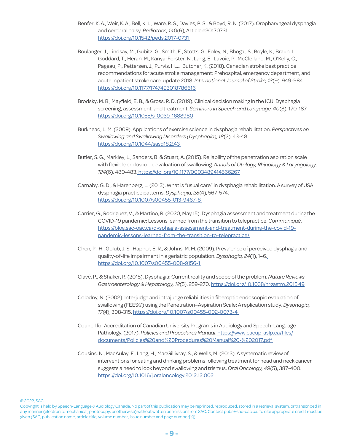- Benfer, K. A., Weir, K. A., Bell, K. L., Ware, R. S., Davies, P. S., & Boyd, R. N. (2017). Oropharyngeal dysphagia and cerebral palsy. *Pediatrics, 140*(6), Article e20170731. [https://doi.org/10.1542/peds.2017-0731](https://doi.org/10.1542/peds.2017-0731 
)
- Boulanger, J., Lindsay, M., Gubitz, G., Smith, E., Stotts, G., Foley, N., Bhogal, S., Boyle, K., Braun, L., Goddard, T., Heran, M., Kanya-Forster, N., Lang, E., Lavoie, P., McClelland, M., O'Kelly, C., Pageau, P., Pettersen, J., Purvis, H.,… Butcher, K. (2018). Canadian stroke best practice recommendations for acute stroke management: Prehospital, emergency department, and acute inpatient stroke care, update 2018. *International Journal of Stroke, 13*(9), 949-984. <https://doi.org/10.1177/1747493018786616>
- Brodsky, M. B., Mayfield, E. B., & Gross, R. D. (2019). Clinical decision making in the ICU: Dysphagia screening, assessment, and treatment. *Seminars in Speech and Language, 40*(3), 170-187. <https://doi.org/10.1055/s-0039-1688980>
- Burkhead, L. M. (2009). Applications of exercise science in dysphagia rehabilitation. *Perspectives on Swallowing and Swallowing Disorders (Dysphagia), 18*(2), 43-48. <https://doi.org/10.1044/sasd18.2.43>
- Butler, S. G., Markley, L., Sanders, B. & Stuart, A. (2015). Reliability of the penetration aspiration scale with flexible endoscopic evaluation of swallowing. *Annals of Otology, Rhinology & Laryngology, 124*(6), 480-483. [https://doi.org/10.1177/0003489414566267](https://doi.org/10.1177/0003489414566267
)
- Carnaby, G. D., & Harenberg, L. (2013). What is "usual care" in dysphagia rehabilitation: A survey of USA dysphagia practice patterns. *Dysphagia, 28*(4), 567-574. <https://doi.org/10.1007/s00455-013-9467-8>
- Carrier, G., Rodriguez, V., & Martino, R. (2020, May 15). Dysphagia assessment and treatment during the COVID-19 pandemic: Lessons learned from the transition to telepractice. *Communiqué*. [https://blog.sac-oac.ca/dysphagia-assessment-and-treatment-during-the-covid-19](https://blog.sac-oac.ca/dysphagia-assessment-and-treatment-during-the-covid-19-pandemic-lessons-learned-from-the-transition-to-telepractice/) [pandemic-lessons-learned-from-the-transition-to-telepractice/](https://blog.sac-oac.ca/dysphagia-assessment-and-treatment-during-the-covid-19-pandemic-lessons-learned-from-the-transition-to-telepractice/)
- Chen, P.-H., Golub, J. S., Hapner, E. R., & Johns, M. M. (2009). Prevalence of perceived dysphagia and quality-of-life impairment in a geriatric population. *Dysphagia, 24*(1), 1–6. <https://doi.org/10.1007/s00455-008-9156-1>
- Clavé, P., & Shaker, R. (2015). Dysphagia: Current reality and scope of the problem. *Nature Reviews Gastroenterology & Hepatology, 12*(5), 259-270. <https://doi.org/10.1038/nrgastro.2015.49>
- Colodny, N. (2002). Interjudge and intrajudge reliabilities in fiberoptic endoscopic evaluation of swallowing (FEES®) using the Penetration–Aspiration Scale: A replication study. *Dysphagia, 17*(4), 308-315. <https://doi.org/10.1007/s00455-002-0073-4>
- Council for Accreditation of Canadian University Programs in Audiology and Speech-Language Pathology. (2017). *Policies and Procedures Manual*[. https://www.cacup-aslp.ca/files/](https://www.cacup-aslp.ca/files/documents/Policies%20and%20Procedures%20Manual%20-%202017.pdf) [documents/Policies%20and%20Procedures%20Manual%20-%202017.pdf](https://www.cacup-aslp.ca/files/documents/Policies%20and%20Procedures%20Manual%20-%202017.pdf)
- Cousins, N., MacAulay, F., Lang, H., MacGillivray, S., & Wells, M. (2013). A systematic review of interventions for eating and drinking problems following treatment for head and neck cancer suggests a need to look beyond swallowing and trismus. *Oral Oncology, 49*(5), 387-400. <https://doi.org/10.1016/j.oraloncology.2012.12.002>

Copyright is held by Speech-Language & Audiology Canada. No part of this publication may be reprinted, reproduced, stored in a retrieval system, or transcribed in any manner (electronic, mechanical, photocopy, or otherwise) without written permission from SAC. Contact pubs@sac-oac.ca. To cite appropriate credit must be given (SAC, publication name, article title, volume number, issue number and page number[s])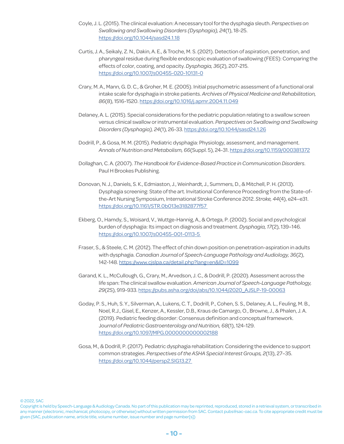- Coyle, J. L. (2015). The clinical evaluation: A necessary tool for the dysphagia sleuth. *Perspectives on Swallowing and Swallowing Disorders (Dysphagia), 24*(1), 18-25. <https://doi.org/10.1044/sasd24.1.18>
- Curtis, J. A., Seikaly, Z. N., Dakin, A. E., & Troche, M. S. (2021). Detection of aspiration, penetration, and pharyngeal residue during flexible endoscopic evaluation of swallowing (FEES): Comparing the effects of color, coating, and opacity. *Dysphagia, 36*(2), 207-215. <https://doi.org/10.1007/s00455-020-10131-0>
- Crary, M. A., Mann, G. D. C., & Groher, M. E. (2005). Initial psychometric assessment of a functional oral intake scale for dysphagia in stroke patients. *Archives of Physical Medicine and Rehabilitation, 86*(8), 1516-1520. <https://doi.org/10.1016/j.apmr.2004.11.049>
- Delaney, A. L. (2015). Special considerations for the pediatric population relating to a swallow screen versus clinical swallow or instrumental evaluation. *Perspectives on Swallowing and Swallowing Disorders (Dysphagia), 24*(1), 26-33. <https://doi.org/10.1044/sasd24.1.26>
- Dodrill, P., & Gosa, M. M. (2015). Pediatric dysphagia: Physiology, assessment, and management. *Annals of Nutrition and Metabolism, 66*(Suppl. 5), 24-31. [https://doi.org/10.1159/000381372](https://doi.org/10.1159/000381372
)
- Dollaghan, C. A. (2007). *The Handbook for Evidence-Based Practice in Communication Disorders*. Paul H Brookes Publishing.
- Donovan, N. J., Daniels, S. K., Edmiaston, J., Weinhardt, J., Summers, D., & Mitchell, P. H. (2013). Dysphagia screening: State of the art. Invitational Conference Proceeding from the State-ofthe-Art Nursing Symposium, International Stroke Conference 2012. *Stroke, 44*(4), e24–e31. <https://doi.org/10.1161/STR.0b013e3182877f57>
- Ekberg, O., Hamdy, S., Woisard, V., Wuttge-Hannig, A., & Ortega, P. (2002). Social and psychological burden of dysphagia: Its impact on diagnosis and treatment. *Dysphagia, 17*(2), 139–146. <https://doi.org/10.1007/s00455-001-0113-5>
- Fraser, S., & Steele, C. M. (2012). The effect of chin down position on penetration-aspiration in adults with dysphagia. *Canadian Journal of Speech-Language Pathology and Audiology, 36*(2), 142-148.<https://www.cjslpa.ca/detail.php?lang=en&ID=1099>
- Garand, K. L., McCullough, G., Crary, M., Arvedson, J. C., & Dodrill, P. (2020). Assessment across the life span: The clinical swallow evaluation. *American Journal of Speech-Language Pathology, 29*(2S), 919-933. [https://pubs.asha.org/doi/abs/10.1044/2020\\_AJSLP-19-00063](https://pubs.asha.org/doi/abs/10.1044/2020_AJSLP-19-00063)
- Goday, P. S., Huh, S. Y., Silverman, A., Lukens, C. T., Dodrill, P., Cohen, S. S., Delaney, A. L., Feuling, M. B., Noel, R.J., Gisel, E., Kenzer, A., Kessler, D.B., Kraus de Camargo, O., Browne, J., & Phalen, J. A. (2019). Pediatric feeding disorder: Consensus definition and conceptual framework. J*ournal of Pediatric Gastroenterology and Nutrition, 68*(1), 124-129. <https://doi.org/10.1097/MPG.0000000000002188>
- Gosa, M., & Dodrill, P. (2017). Pediatric dysphagia rehabilitation: Considering the evidence to support common strategies. *Perspectives of the ASHA Special Interest Groups, 2*(13), 27–35. <https://doi.org/10.1044/persp2.SIG13.27>

Copyright is held by Speech-Language & Audiology Canada. No part of this publication may be reprinted, reproduced, stored in a retrieval system, or transcribed in any manner (electronic, mechanical, photocopy, or otherwise) without written permission from SAC. Contact pubs@sac-oac.ca. To cite appropriate credit must be given (SAC, publication name, article title, volume number, issue number and page number[s])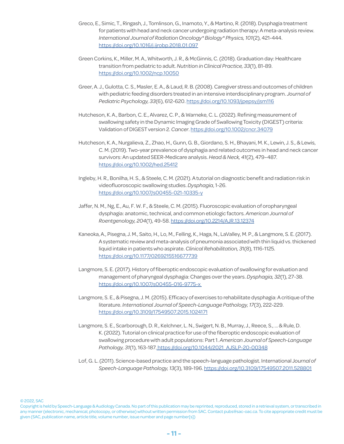- Greco, E., Simic, T., Ringash, J., Tomlinson, G., Inamoto, Y., & Martino, R. (2018). Dysphagia treatment for patients with head and neck cancer undergoing radiation therapy: A meta-analysis review. *International Journal of Radiation Oncology\* Biology\* Physics, 101*(2), 421-444. <https://doi.org/10.1016/j.ijrobp.2018.01.097>
- Green Corkins, K., Miller, M. A., Whitworth, J. R., & McGinnis, C. (2018). Graduation day: Healthcare transition from pediatric to adult. *Nutrition in Clinical Practice, 33*(1), 81-89. <https://doi.org/10.1002/ncp.10050>
- Greer, A. J., Gulotta, C. S., Masler, E. A., & Laud, R. B. (2008). Caregiver stress and outcomes of children with pediatric feeding disorders treated in an intensive interdisciplinary program. *Journal of Pediatric Psychology, 33*(6), 612-620.<https://doi.org/10.1093/jpepsy/jsm116>
- Hutcheson, K. A., Barbon, C. E., Alvarez, C. P., & Warneke, C. L. (2022). Refining measurement of swallowing safety in the Dynamic Imaging Grade of Swallowing Toxicity (DIGEST) criteria: Validation of DIGEST version 2. *Cancer*.<https://doi.org/10.1002/cncr.34079>
- Hutcheson, K. A., Nurgalieva, Z., Zhao, H., Gunn, G. B., Giordano, S. H., Bhayani, M. K., Lewin, J. S., & Lewis, C. M. (2019). Two-year prevalence of dysphagia and related outcomes in head and neck cancer survivors: An updated SEER-Medicare analysis. *Head & Neck, 41*(2), 479–487. [https://doi.org/10.1002/hed.25412](https://doi.org/10.1002/hed.25412
)
- Ingleby, H. R., Bonilha, H. S., & Steele, C. M. (2021). A tutorial on diagnostic benefit and radiation risk in videofluoroscopic swallowing studies. *Dysphagia*, 1-26. <https://doi.org/10.1007/s00455-021-10335-y>
- Jaffer, N. M., Ng, E., Au, F. W. F., & Steele, C. M. (2015). Fluoroscopic evaluation of oropharyngeal dysphagia: anatomic, technical, and common etiologic factors. *American Journal of Roentgenology, 204*(1), 49-58.<https://doi.org/10.2214/AJR.13.12374>
- Kaneoka, A., Pisegna, J. M., Saito, H., Lo, M., Felling, K., Haga, N., LaValley, M. P., & Langmore, S. E. (2017). A systematic review and meta-analysis of pneumonia associated with thin liquid vs. thickened liquid intake in patients who aspirate. *Clinical Rehabilitation, 3*1(8), 1116-1125. [https://doi.org/10.1177/0269215516677739](https://doi.org/10.1177/0269215516677739
)
- Langmore, S. E. (2017). History of fiberoptic endoscopic evaluation of swallowing for evaluation and management of pharyngeal dysphagia: Changes over the years. *Dysphagia, 32*(1), 27-38. [https://doi.org/10.1007/s00455-016-9775-x](https://doi.org/10.1007/s00455-016-9775-x 
)
- Langmore, S. E., & Pisegna, J. M. (2015). Efficacy of exercises to rehabilitate dysphagia: A critique of the literature. *International Journal of Speech-Language Pathology, 17*(3), 222-229. <https://doi.org/10.3109/17549507.2015.1024171>
- Langmore, S. E., Scarborough, D. R., Kelchner, L. N., Swigert, N. B., Murray, J., Reece, S., ... & Rule, D. K. (2022). Tutorial on clinical practice for use of the fiberoptic endoscopic evaluation of swallowing procedure with adult populations: Part 1. *American Journal of Speech-Language Pathology, 31*(1), 163-187[. https://doi.org/10.1044/2021\\_AJSLP-20-00348](https://doi.org/10.1044/2021_AJSLP-20-00348)
- Lof, G. L. (2011). Science-based practice and the speech-language pathologist. International J*ournal of Speech-Language Pathology, 13*(3), 189-196. [https://doi.org/10.3109/17549507.2011.528801](https://doi.org/10.3109/17549507.2011.528801
)

Copyright is held by Speech-Language & Audiology Canada. No part of this publication may be reprinted, reproduced, stored in a retrieval system, or transcribed in any manner (electronic, mechanical, photocopy, or otherwise) without written permission from SAC. Contact pubs@sac-oac.ca. To cite appropriate credit must be given (SAC, publication name, article title, volume number, issue number and page number[s])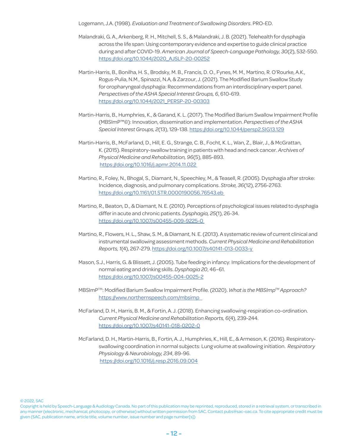Logemann, J.A. (1998). *Evaluation and Treatment of Swallowing Disorders*. PRO-ED.

- Malandraki, G. A., Arkenberg, R. H., Mitchell, S. S., & Malandraki, J. B. (2021). Telehealth for dysphagia across the life span: Using contemporary evidence and expertise to guide clinical practice during and after COVID-19. *American Journal of Speech-Language Pathology, 30*(2), 532-550. [https://doi.org/10.1044/2020\\_AJSLP-20-00252](https://doi.org/10.1044/2020_AJSLP-20-00252)
- Martin-Harris, B., Bonilha, H. S., Brodsky, M. B., Francis, D. O., Fynes, M. M., Martino, R. O'Rourke, A.K., Rogus-Pulia, N.M., Spinazzi, N.A, & Zarzour, J. (2021). The Modified Barium Swallow Study for oropharyngeal dysphagia: Recommendations from an interdisciplinary expert panel. *Perspectives of the ASHA Special Interest Groups, 6*, 610-619. [https://doi.org/10.1044/2021\\_PERSP-20-00303](https://doi.org/10.1044/2021_PERSP-20-00303)
- Martin-Harris, B., Humphries, K., & Garand, K. L. (2017). The Modified Barium Swallow Impairment Profile (MBSImP™©): Innovation, dissemination and implementation. *Perspectives of the ASHA Special Interest Groups, 2*(13), 129-138. [https://doi.org/10.1044/persp2.SIG13.129](https://doi.org/10.1016/j.apmr.2014.11.022)
- Martin-Harris, B., McFarland, D., Hill, E. G., Strange, C. B., Focht, K. L., Wan, Z., Blair, J., & McGrattan, K. (2015). Respiratory-swallow training in patients with head and neck cancer. *Archives of Physical Medicine and Rehabilitation, 96*(5), 885-893. <https://doi.org/10.1016/j.apmr.2014.11.022>
- Martino, R., Foley, N., Bhogal, S., Diamant, N., Speechley, M., & Teasell, R. (2005). Dysphagia after stroke: Incidence, diagnosis, and pulmonary complications. *Stroke, 36*(12), 2756-2763. [https://doi.org/10.1161/01.STR.0000190056.76543.eb](https://doi.org/10.1161/01.STR.0000190056.76543.eb 
)
- Martino, R., Beaton, D., & Diamant, N. E. (2010). Perceptions of psychological issues related to dysphagia differ in acute and chronic patients. *Dysphagia, 25*(1), 26-34. <https://doi.org/10.1007/s00455-009-9225-0>
- Martino, R., Flowers, H. L., Shaw, S. M., & Diamant, N. E. (2013). A systematic review of current clinical and instrumental swallowing assessment methods. *Current Physical Medicine and Rehabilitation Reports, 1*(4), 267-279. <https://doi.org/10.1007/s40141-013-0033-y>
- Mason, S.J., Harris, G. & Blissett, J. (2005). Tube feeding in infancy: Implications for the development of normal eating and drinking skills. *Dysphagia 20*, 46–61. [https://doi.org/10.1007/s00455-004-0025-2](http://dx.doi.org/10.1136/jnnp-2021-326767
)
- MBSImPTM: Modified Barium Swallow Impairment Profile. (2020). *What is the MBSImpTM Approach?* <https://www.northernspeech.com/mbsimp>
- McFarland, D. H., Harris, B. M., & Fortin, A. J. (2018). Enhancing swallowing-respiration co-ordination. *Current Physical Medicine and Rehabilitation Reports, 6*(4), 239-244. <https://doi.org/10.1007/s40141-018-0202-0>
- McFarland, D. H., Martin-Harris, B., Fortin, A. J., Humphries, K., Hill, E., & Armeson, K. (2016). Respiratoryswallowing coordination in normal subjects: Lung volume at swallowing initiation. *Respiratory Physiology & Neurobiology, 234*, 89-96. [https://doi.org/10.1016/j.resp.2016.09.004](https://doi.org/10.1016/j.resp.2016.09.004
)

Copyright is held by Speech-Language & Audiology Canada. No part of this publication may be reprinted, reproduced, stored in a retrieval system, or transcribed in any manner (electronic, mechanical, photocopy, or otherwise) without written permission from SAC. Contact pubs@sac-oac.ca. To cite appropriate credit must be given (SAC, publication name, article title, volume number, issue number and page number[s])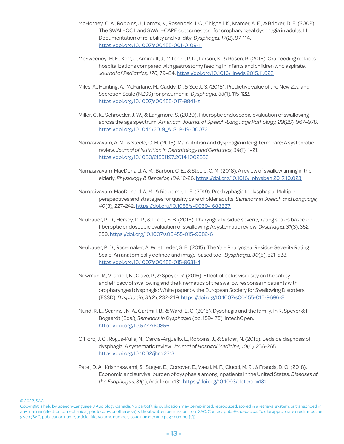- McHorney, C. A., Robbins, J., Lomax, K., Rosenbek, J. C., Chignell, K., Kramer, A. E., & Bricker, D. E. (2002). The SWAL–QOL and SWAL–CARE outcomes tool for oropharyngeal dysphagia in adults: III. Documentation of reliability and validity. *Dysphagia, 17*(2), 97-114. <https://doi.org/10.1007/s00455-001-0109-1>
- McSweeney, M. E., Kerr, J., Amirault, J., Mitchell, P. D., Larson, K., & Rosen, R. (2015). Oral feeding reduces hospitalizations compared with gastrostomy feeding in infants and children who aspirate. *Journal of Pediatrics, 170*, 79–84. <https://doi.org/10.1016/j.jpeds.2015.11.028>
- Miles, A., Hunting, A., McFarlane, M., Caddy, D., & Scott, S. (2018). Predictive value of the New Zealand Secretion Scale (NZSS) for pneumonia. *Dysphagia, 33*(1), 115-122. [https://doi.org/10.1007/s00455-017-9841-z](https://doi.org/10.1007/s00455-017-9841-z
)
- Miller, C. K., Schroeder, J. W., & Langmore, S. (2020). Fiberoptic endoscopic evaluation of swallowing across the age spectrum. *American Journal of Speech-Language Pathology, 29*(2S), 967–978. [https://doi.org/10.1044/2019\\_AJSLP-19-00072](https://doi.org/10.1044/2019_AJSLP-19-00072)
- Namasivayam, A. M., & Steele, C. M. (2015). Malnutrition and dysphagia in long-term care: A systematic review. *Journal of Nutrition in Gerontology and Geriatrics, 34*(1), 1–21. <https://doi.org/10.1080/21551197.2014.1002656>
- Namasivayam-MacDonald, A. M., Barbon, C. E., & Steele, C. M. (2018). A review of swallow timing in the elderly. *Physiology & Behavior, 184*, 12-26. [https://doi.org/10.1016/j.physbeh.2017.10.023](https://doi.org/10.1016/j.physbeh.2017.10.023 
)
- Namasivayam-MacDonald, A. M., & Riquelme, L. F. (2019). Presbyphagia to dysphagia: Multiple perspectives and strategies for quality care of older adults. *Seminars in Speech and Language, 40*(3), 227-242. [https://doi.org/10.1055/s-0039-1688837](https://doi.org/10.1055/s-0039-1688837 
)
- Neubauer, P. D., Hersey, D. P., & Leder, S. B. (2016). Pharyngeal residue severity rating scales based on fiberoptic endoscopic evaluation of swallowing: A systematic review. *Dysphagia, 31*(3), 352- 359. <https://doi.org/10.1007/s00455-015-9682-6>
- Neubauer, P. D., Rademaker, A. W. et Leder, S. B. (2015). The Yale Pharyngeal Residue Severity Rating Scale: An anatomically defined and image-based tool. *Dysphagia, 30*(5), 521-528. <https://doi.org/10.1007/s00455-015-9631-4>
- Newman, R., Vilardell, N., Clavé, P., & Speyer, R. (2016). Effect of bolus viscosity on the safety and efficacy of swallowing and the kinematics of the swallow response in patients with oropharyngeal dysphagia: White paper by the European Society for Swallowing Disorders (ESSD). *Dysphagia, 31*(2), 232-249.<https://doi.org/10.1007/s00455-016-9696-8>
- Nund, R. L., Scarinci, N. A., Cartmill, B., & Ward, E. C. (2015). Dysphagia and the family. In R. Speyer & H. Bogaardt (Eds.), *Seminars in Dysphagia* (pp. 159-175). IntechOpen. <https://doi.org/10.5772/60856>
- O'Horo, J. C., Rogus-Pulia, N., Garcia-Arguello, L., Robbins, J., & Safdar, N. (2015). Bedside diagnosis of dysphagia: A systematic review. *Journal of Hospital Medicine, 10*(4), 256-265. <https://doi.org/10.1002/jhm.2313>
- Patel, D. A., Krishnaswami, S., Steger, E., Conover, E., Vaezi, M. F., Ciucci, M. R., & Francis, D. O. (2018). Economic and survival burden of dysphagia among inpatients in the United States. *Diseases of the Esophagus, 31*(1), Article dox131. <https://doi.org/10.1093/dote/dox131>

Copyright is held by Speech-Language & Audiology Canada. No part of this publication may be reprinted, reproduced, stored in a retrieval system, or transcribed in any manner (electronic, mechanical, photocopy, or otherwise) without written permission from SAC. Contact pubs@sac-oac.ca. To cite appropriate credit must be given (SAC, publication name, article title, volume number, issue number and page number[s])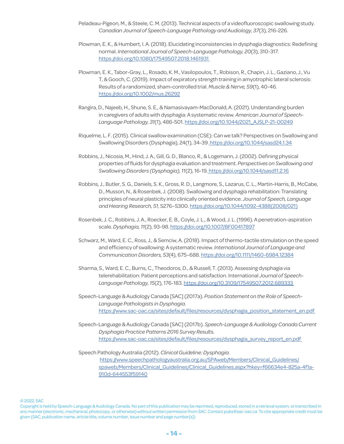- Peladeau-Pigeon, M., & Steele, C. M. (2013). Technical aspects of a videofluoroscopic swallowing study. *Canadian Journal of Speech-Language Pathology and Audiology, 37*(3), 216-226.
- Plowman, E. K., & Humbert, I. A. (2018). Elucidating inconsistencies in dysphagia diagnostics: Redefining normal. *International Journal of Speech-Language Pathology, 20*(3), 310-317. <https://doi.org/10.1080/17549507.2018.1461931>
- Plowman, E. K., Tabor-Gray, L., Rosado, K. M., Vasilopoulos, T., Robison, R., Chapin, J. L., Gaziano, J., Vu T, & Gooch, C. (2019). Impact of expiratory strength training in amyotrophic lateral sclerosis: Results of a randomized, sham-controlled trial. *Muscle & Nerve, 59*(1), 40-46. <https://doi.org/10.1002/mus.26292>
- Rangira, D., Najeeb, H., Shune, S. E., & Namasivayam-MacDonald, A. (2021). Understanding burden in caregivers of adults with dysphagia: A systematic review. *American Journal of Speech-Language Pathology, 31*(1), 486-501. [https://doi.org/10.1044/2021\\_AJSLP-21-00249](https://doi.org/10.1044/2021_AJSLP-21-00249)
- Riquelme, L. F. (2015). Clinical swallow examination (CSE): Can we talk? Perspectives on Swallowing and Swallowing Disorders (Dysphagia), 24(1), 34-39[. https://doi.org/10.1044/sasd24.1.34](https://doi.org/10.1044/sasd24.1.34)
- Robbins, J., Nicosia, M., Hind, J. A., Gill, G. D., Blanco, R., & Logemann, J. (2002). Defining physical properties of fluids for dysphagia evaluation and treatment. *Perspectives on Swallowing and Swallowing Disorders (Dysphagia), 11*(2), 16-19[. https://doi.org/10.1044/sasd11.2.16](https://doi.org/10.1044/sasd11.2.16)
- Robbins, J., Butler, S. G., Daniels, S. K., Gross, R. D., Langmore, S., Lazarus, C. L., Martin-Harris, B., McCabe, D., Musson, N., & Rosenbek, J. (2008). Swallowing and dysphagia rehabilitation: Translating principles of neural plasticity into clinically oriented evidence. *Journal of Speech, Language and Hearing Research, 51*, S276–S300. [https://doi.org/10.1044/1092-4388\(2008/021\)](https://doi.org/10.1044/1092-4388(2008/021))
- Rosenbek, J. C., Robbins, J. A., Roecker, E. B., Coyle, J. L., & Wood, J. L. (1996). A penetration-aspiration scale. *Dysphagia, 11*(2), 93-98.<https://doi.org/10.1007/BF00417897>
- Schwarz, M., Ward, E. C., Ross, J., & Semciw, A. (2018). Impact of thermo-tactile stimulation on the speed and efficiency of swallowing: A systematic review. *International Journal of Language and Communication Disorders, 53*(4), 675–688. <https://doi.org/10.1111/1460-6984.12384>
- Sharma, S., Ward, E. C., Burns, C., Theodoros, D., & Russell, T. (2013). Assessing dysphagia via telerehabilitation: Patient perceptions and satisfaction. International *Journal of Speech-Language Pathology, 15*(2), 176-183.<https://doi.org/10.3109/17549507.2012.689333>
- Speech-Language & Audiology Canada [SAC] (2017a). *Position Statement on the Role of Speech-Language Pathologists in Dysphagia*. [https://www.sac-oac.ca/sites/default/files/resources/dysphagia\\_position\\_statement\\_en.pdf](https://www.sac-oac.ca/sites/default/files/resources/dysphagia_position_statement_en.pdf)
- Speech-Language & Audiology Canada [SAC] (2017b). *Speech-Language & Audiology Canada Current Dysphagia Practice Patterns 2016 Survey Results.* [https://www.sac-oac.ca/sites/default/files/resources/dysphagia\\_survey\\_report\\_en.pdf](https://www.sac-oac.ca/sites/default/files/resources/dysphagia_survey_report_en.pdf)
- Speech Pathology Australia (2012). *Clinical Guideline: Dysphagia*. [https://www.speechpathologyaustralia.org.au/SPAweb/Members/Clinical\\_Guidelines/](https://www.speechpathologyaustralia.org.au/SPAweb/Members/Clinical_Guidelines/spaweb/Members/Clinical_Guidelines/Clinical_Guidelines.aspx?hkey=f66634e4-825a-4f1a-910d-644553f59140) [spaweb/Members/Clinical\\_Guidelines/Clinical\\_Guidelines.aspx?hkey=f66634e4-825a-4f1a-](https://www.speechpathologyaustralia.org.au/SPAweb/Members/Clinical_Guidelines/spaweb/Members/Clinical_Guidelines/Clinical_Guidelines.aspx?hkey=f66634e4-825a-4f1a-910d-644553f59140)[910d-644553f59140](https://www.speechpathologyaustralia.org.au/SPAweb/Members/Clinical_Guidelines/spaweb/Members/Clinical_Guidelines/Clinical_Guidelines.aspx?hkey=f66634e4-825a-4f1a-910d-644553f59140)

Copyright is held by Speech-Language & Audiology Canada. No part of this publication may be reprinted, reproduced, stored in a retrieval system, or transcribed in any manner (electronic, mechanical, photocopy, or otherwise) without written permission from SAC. Contact pubs@sac-oac.ca. To cite appropriate credit must be given (SAC, publication name, article title, volume number, issue number and page number[s])